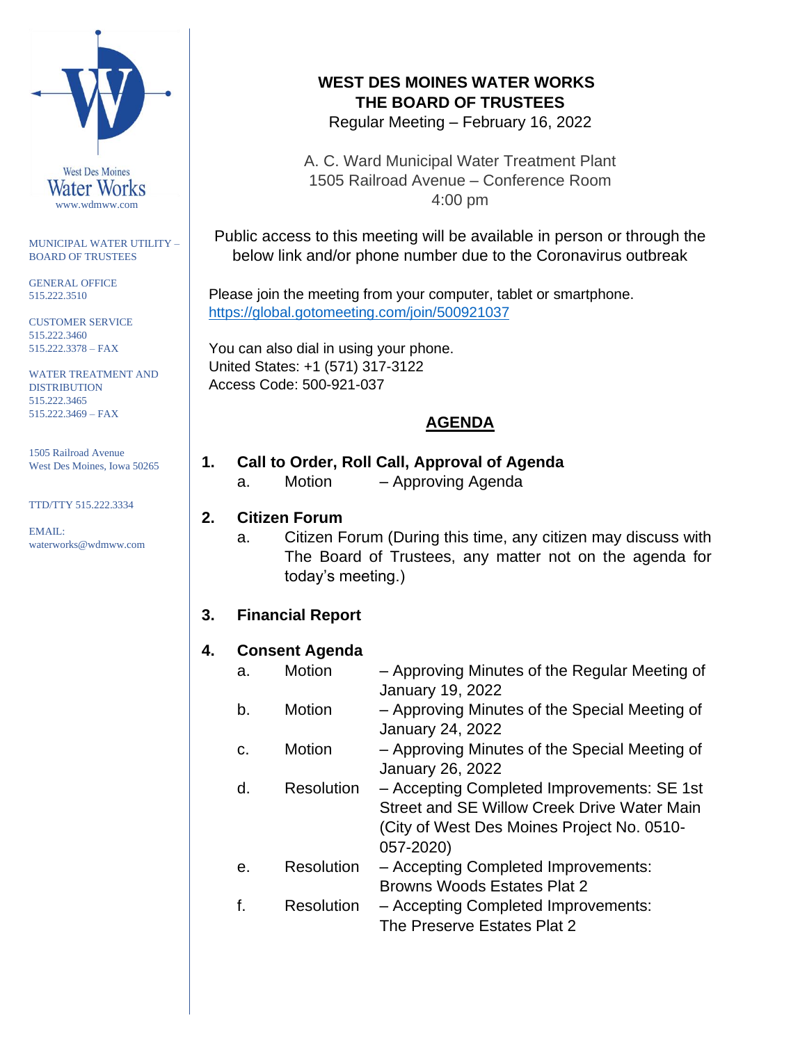

MUNICIPAL WATER UTILITY – BOARD OF TRUSTEES

GENERAL OFFICE 515.222.3510

CUSTOMER SERVICE 515.222.3460 515.222.3378 – FAX

WATER TREATMENT AND **DISTRIBUTION** 515.222.3465 515.222.3469 – FAX

1505 Railroad Avenue West Des Moines, Iowa 50265

TTD/TTY 515.222.3334

EMAIL: waterworks@wdmww.com

# **WEST DES MOINES WATER WORKS THE BOARD OF TRUSTEES**

Regular Meeting – February 16, 2022

A. C. Ward Municipal Water Treatment Plant 1505 Railroad Avenue – Conference Room 4:00 pm

Public access to this meeting will be available in person or through the below link and/or phone number due to the Coronavirus outbreak

Please join the meeting from your computer, tablet or smartphone. [https://global.gotomeeting.com/join/5](https://global.gotomeeting.com/join/)00921037

You can also dial in using your phone. United States: +1 (571) 317-3122 Access Code: 500-921-037

# **AGENDA**

# **1. Call to Order, Roll Call, Approval of Agenda**

a. Motion – Approving Agenda

#### **2. Citizen Forum**

a. Citizen Forum (During this time, any citizen may discuss with The Board of Trustees, any matter not on the agenda for today's meeting.)

## **3. Financial Report**

#### **4. Consent Agenda**

a. Motion – Approving Minutes of the Regular Meeting of January 19, 2022 b. Motion – Approving Minutes of the Special Meeting of January 24, 2022 c. Motion – Approving Minutes of the Special Meeting of January 26, 2022 d. Resolution – Accepting Completed Improvements: SE 1st Street and SE Willow Creek Drive Water Main (City of West Des Moines Project No. 0510- 057-2020) e. Resolution – Accepting Completed Improvements: Browns Woods Estates Plat 2 f. Resolution – Accepting Completed Improvements:

The Preserve Estates Plat 2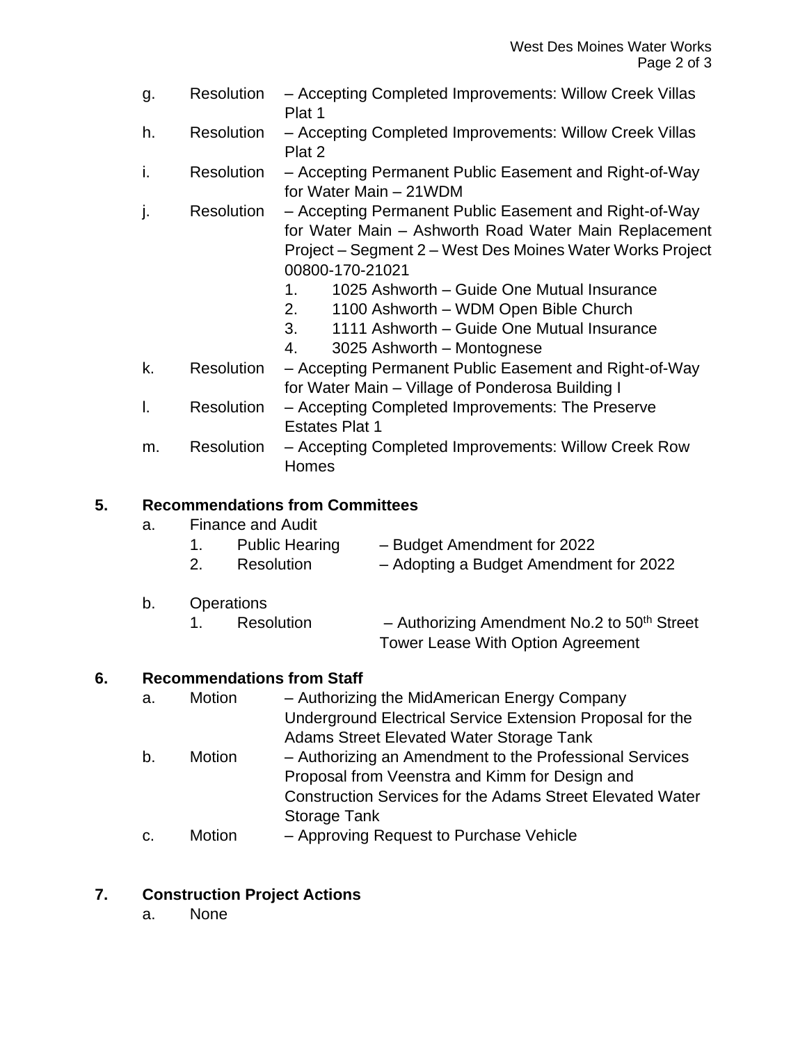- g. Resolution Accepting Completed Improvements: Willow Creek Villas Plat 1
- h. Resolution Accepting Completed Improvements: Willow Creek Villas Plat 2
- i. Resolution Accepting Permanent Public Easement and Right-of-Way for Water Main – 21WDM
- j. Resolution Accepting Permanent Public Easement and Right-of-Way for Water Main – Ashworth Road Water Main Replacement Project – Segment 2 – West Des Moines Water Works Project 00800-170-21021
	- 1. 1025 Ashworth Guide One Mutual Insurance
	- 2. 1100 Ashworth WDM Open Bible Church
	- 3. 1111 Ashworth Guide One Mutual Insurance
	- 4. 3025 Ashworth Montognese
- k. Resolution Accepting Permanent Public Easement and Right-of-Way for Water Main – Village of Ponderosa Building I
- l. Resolution Accepting Completed Improvements: The Preserve Estates Plat 1
- m. Resolution Accepting Completed Improvements: Willow Creek Row Homes

#### **5. Recommendations from Committees**

| <b>Public Hearing</b> | - Budget Amendment for 2022                 |  |  |
|-----------------------|---------------------------------------------|--|--|
| Resolution            | $\sim$ Adopting a Budget Amendment for 2022 |  |  |

- 2. Resolution Adopting a Budget Amendment for 2022
- b. Operations
	- 1. Resolution  $-$  Authorizing Amendment No.2 to 50<sup>th</sup> Street Tower Lease With Option Agreement

#### **6. Recommendations from Staff**

- a. Motion Authorizing the MidAmerican Energy Company Underground Electrical Service Extension Proposal for the Adams Street Elevated Water Storage Tank
- b. Motion Authorizing an Amendment to the Professional Services Proposal from Veenstra and Kimm for Design and Construction Services for the Adams Street Elevated Water Storage Tank
- c. Motion Approving Request to Purchase Vehicle

#### **7. Construction Project Actions**

a. None